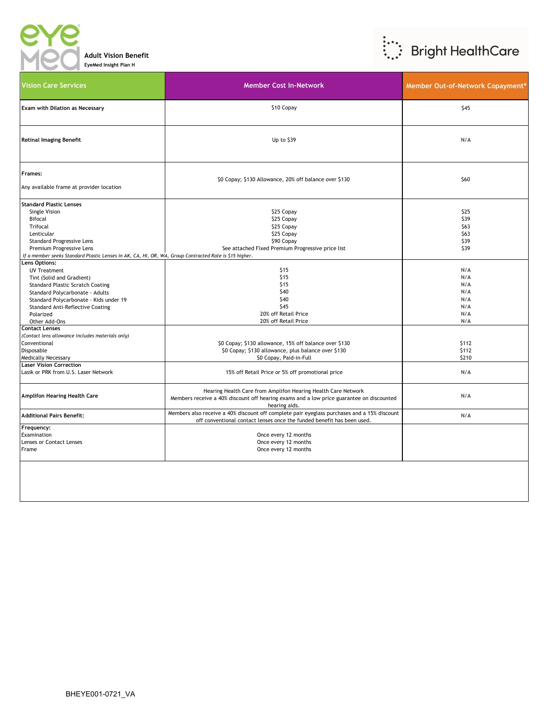

**Adult Vision Benefit EyeMed Insight Plan H**



| <b>Vision Care Services</b>                                                                                                                                                                                                                                                         | <b>Member Cost In-Network</b>                                                                                                                                                                | Member Out-of-Network Copayment*                     |
|-------------------------------------------------------------------------------------------------------------------------------------------------------------------------------------------------------------------------------------------------------------------------------------|----------------------------------------------------------------------------------------------------------------------------------------------------------------------------------------------|------------------------------------------------------|
| Exam with Dilation as Necessary                                                                                                                                                                                                                                                     | \$10 Copay                                                                                                                                                                                   | \$45                                                 |
| <b>Retinal Imaging Benefit</b>                                                                                                                                                                                                                                                      | Up to \$39                                                                                                                                                                                   | N/A                                                  |
| Frames:<br>Any available frame at provider location                                                                                                                                                                                                                                 | \$0 Copay; \$130 Allowance, 20% off balance over \$130                                                                                                                                       | \$60                                                 |
| <b>Standard Plastic Lenses</b><br><b>Single Vision</b><br><b>Bifocal</b><br><b>Trifocal</b><br>Lenticular<br><b>Standard Progressive Lens</b><br>Premium Progressive Lens<br>If a member seeks Standard Plastic Lenses in AK, CA, HI, OR, WA, Group Contracted Rate is \$15 higher. | \$25 Copay<br>\$25 Copay<br>\$25 Copay<br>\$25 Copay<br>\$90 Copay<br>See attached Fixed Premium Progressive price list                                                                      | \$25<br>\$39<br>\$63<br>\$63<br>\$39<br>\$39         |
| Lens Options:<br><b>UV Treatment</b><br>Tint (Solid and Gradient)<br><b>Standard Plastic Scratch Coating</b><br>Standard Polycarbonate - Adults<br>Standard Polycarbonate - Kids under 19<br>Standard Anti-Reflective Coating<br>Polarized<br>Other Add-Ons                         | \$15<br>\$15<br>\$15<br>\$40<br>\$40<br>\$45<br>20% off Retail Price<br>20% off Retail Price                                                                                                 | N/A<br>N/A<br>N/A<br>N/A<br>N/A<br>N/A<br>N/A<br>N/A |
| <b>Contact Lenses</b><br>(Contact lens allowance includes materials only)<br>Conventional<br>Disposable<br><b>Medically Necessary</b><br><b>Laser Vision Correction</b><br>Lasik or PRK from U.S. Laser Network                                                                     | \$0 Copay; \$130 allowance, 15% off balance over \$130<br>\$0 Copay; \$130 allowance, plus balance over \$130<br>\$0 Copay, Paid-in-Full<br>15% off Retail Price or 5% off promotional price | \$112<br>\$112<br>\$210<br>N/A                       |
| Amplifon Hearing Health Care                                                                                                                                                                                                                                                        | Hearing Health Care from Amplifon Hearing Health Care Network<br>Members receive a 40% discount off hearing exams and a low price guarantee on discounted<br>hearing aids.                   | N/A                                                  |
| <b>Additional Pairs Benefit:</b>                                                                                                                                                                                                                                                    | Members also receive a 40% discount off complete pair eyeglass purchases and a 15% discount<br>off conventional contact lenses once the funded benefit has been used.                        | N/A                                                  |
| Frequency:<br>Examination<br>Lenses or Contact Lenses<br>Frame                                                                                                                                                                                                                      | Once every 12 months<br>Once every 12 months<br>Once every 12 months                                                                                                                         |                                                      |
|                                                                                                                                                                                                                                                                                     |                                                                                                                                                                                              |                                                      |